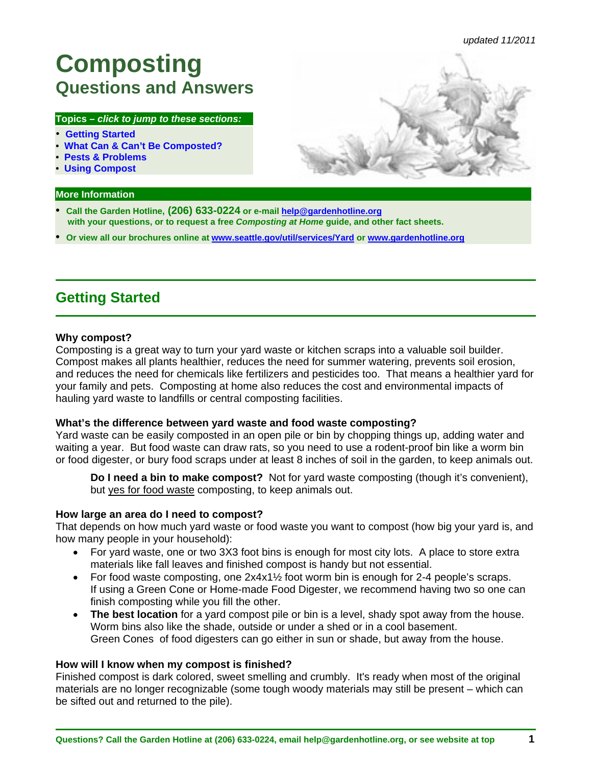# <span id="page-0-0"></span>**Composting Questions and Answers**

#### **Topics –** *click to jump to these sections:*

- **Getting Started**
- **[What Can & Can't Be Composted?](#page-2-0)**
- **[Pests & Problems](#page-4-0)**
- **[Using Compost](#page-5-0)**

#### **More Information**

- **Call the Garden Hotline, (206) 633-0224 or e-mail help@gardenhotline.org with your questions, or to request a free** *Composting at Home* **guide, and other fact sheets.**
- **Or view all our brochures online at www.seattle.gov/util/services/Yard or www.gardenhotline.org**

# **Getting Started**

#### **Why compost?**

Composting is a great way to turn your yard waste or kitchen scraps into a valuable soil builder. Compost makes all plants healthier, reduces the need for summer watering, prevents soil erosion, and reduces the need for chemicals like fertilizers and pesticides too. That means a healthier yard for your family and pets. Composting at home also reduces the cost and environmental impacts of hauling yard waste to landfills or central composting facilities.

#### **What's the difference between yard waste and food waste composting?**

Yard waste can be easily composted in an open pile or bin by chopping things up, adding water and waiting a year. But food waste can draw rats, so you need to use a rodent-proof bin like a worm bin or food digester, or bury food scraps under at least 8 inches of soil in the garden, to keep animals out.

**Do I need a bin to make compost?** Not for yard waste composting (though it's convenient), but yes for food waste composting, to keep animals out.

#### **How large an area do I need to compost?**

That depends on how much yard waste or food waste you want to compost (how big your yard is, and how many people in your household):

- For yard waste, one or two 3X3 foot bins is enough for most city lots. A place to store extra materials like fall leaves and finished compost is handy but not essential.
- For food waste composting, one  $2x4x1\frac{1}{2}$  foot worm bin is enough for 2-4 people's scraps. If using a Green Cone or Home-made Food Digester, we recommend having two so one can finish composting while you fill the other.
- **The best location** for a yard compost pile or bin is a level, shady spot away from the house. Worm bins also like the shade, outside or under a shed or in a cool basement. Green Cones of food digesters can go either in sun or shade, but away from the house.

#### **How will I know when my compost is finished?**

Finished compost is dark colored, sweet smelling and crumbly. It's ready when most of the original materials are no longer recognizable (some tough woody materials may still be present – which can be sifted out and returned to the pile).

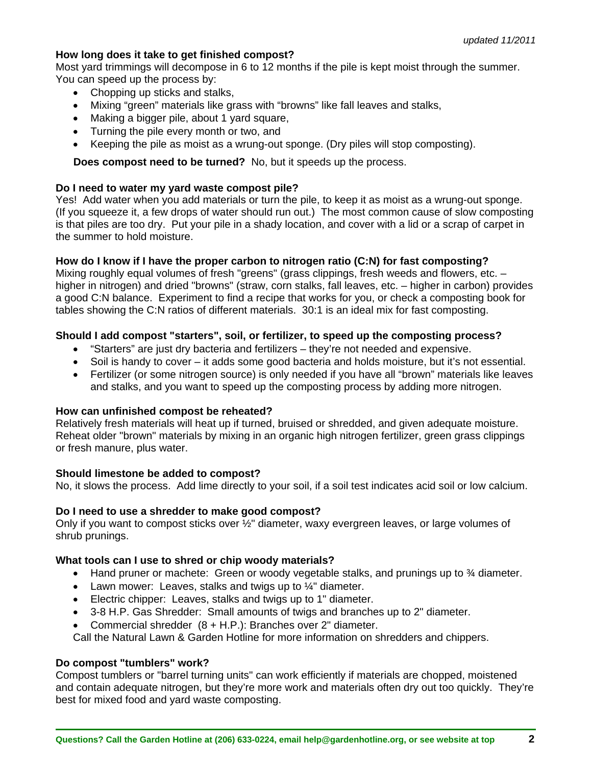#### **How long does it take to get finished compost?**

Most yard trimmings will decompose in 6 to 12 months if the pile is kept moist through the summer. You can speed up the process by:

- Chopping up sticks and stalks,
- Mixing "green" materials like grass with "browns" like fall leaves and stalks,
- Making a bigger pile, about 1 yard square,
- Turning the pile every month or two, and
- Keeping the pile as moist as a wrung-out sponge. (Dry piles will stop composting).

 **Does compost need to be turned?** No, but it speeds up the process.

#### **Do I need to water my yard waste compost pile?**

Yes! Add water when you add materials or turn the pile, to keep it as moist as a wrung-out sponge. (If you squeeze it, a few drops of water should run out.) The most common cause of slow composting is that piles are too dry. Put your pile in a shady location, and cover with a lid or a scrap of carpet in the summer to hold moisture.

#### **How do I know if I have the proper carbon to nitrogen ratio (C:N) for fast composting?**

Mixing roughly equal volumes of fresh "greens" (grass clippings, fresh weeds and flowers, etc. – higher in nitrogen) and dried "browns" (straw, corn stalks, fall leaves, etc. – higher in carbon) provides a good C:N balance. Experiment to find a recipe that works for you, or check a composting book for tables showing the C:N ratios of different materials. 30:1 is an ideal mix for fast composting.

#### **Should I add compost "starters", soil, or fertilizer, to speed up the composting process?**

- "Starters" are just dry bacteria and fertilizers they're not needed and expensive.
- Soil is handy to cover it adds some good bacteria and holds moisture, but it's not essential.
- Fertilizer (or some nitrogen source) is only needed if you have all "brown" materials like leaves and stalks, and you want to speed up the composting process by adding more nitrogen.

#### **How can unfinished compost be reheated?**

Relatively fresh materials will heat up if turned, bruised or shredded, and given adequate moisture. Reheat older "brown" materials by mixing in an organic high nitrogen fertilizer, green grass clippings or fresh manure, plus water.

#### **Should limestone be added to compost?**

No, it slows the process. Add lime directly to your soil, if a soil test indicates acid soil or low calcium.

#### **Do I need to use a shredder to make good compost?**

Only if you want to compost sticks over ½" diameter, waxy evergreen leaves, or large volumes of shrub prunings.

#### **What tools can I use to shred or chip woody materials?**

- $\bullet$  Hand pruner or machete: Green or woody vegetable stalks, and prunings up to  $\frac{3}{4}$  diameter.
- Lawn mower: Leaves, stalks and twigs up to  $\frac{1}{4}$ " diameter.
- Electric chipper: Leaves, stalks and twigs up to 1" diameter.
- 3-8 H.P. Gas Shredder: Small amounts of twigs and branches up to 2" diameter.
- Commercial shredder (8 + H.P.): Branches over 2" diameter.

Call the Natural Lawn & Garden Hotline for more information on shredders and chippers.

#### **Do compost "tumblers" work?**

Compost tumblers or "barrel turning units" can work efficiently if materials are chopped, moistened and contain adequate nitrogen, but they're more work and materials often dry out too quickly. They're best for mixed food and yard waste composting.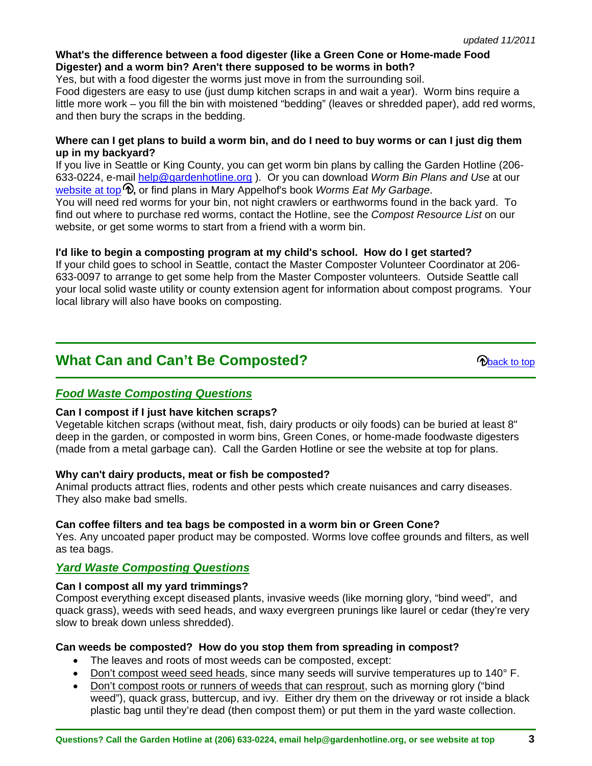#### <span id="page-2-0"></span>**What's the difference between a food digester (like a Green Cone or Home-made Food Digester) and a worm bin? Aren't there supposed to be worms in both?**

Yes, but with a food digester the worms just move in from the surrounding soil.

Food digesters are easy to use (just dump kitchen scraps in and wait a year). Worm bins require a little more work – you fill the bin with moistened "bedding" (leaves or shredded paper), add red worms, and then bury the scraps in the bedding.

#### **Where can I get plans to build a worm bin, and do I need to buy worms or can I just dig them up in my backyard?**

If you live in Seattle or King County, you can get worm bin plans by calling the Garden Hotline (206- 633-0224, e-mail help@gardenhotline.org ). Or you can download *Worm Bin Plans and Use* at our [website at top](#page-0-0)  $\hat{\mathcal{D}}$ , or find plans in Mary Appelhof's book *Worms Eat My Garbage.* 

You will need red worms for your bin, not night crawlers or earthworms found in the back yard. To find out where to purchase red worms, contact the Hotline, see the *Compost Resource List* on our website, or get some worms to start from a friend with a worm bin.

### **I'd like to begin a composting program at my child's school. How do I get started?**

If your child goes to school in Seattle, contact the Master Composter Volunteer Coordinator at 206- 633-0097 to arrange to get some help from the Master Composter volunteers. Outside Seattle call your local solid waste utility or county extension agent for information about compost programs. Your local library will also have books on composting.

# **What Can and Can't Be Composted? [back to top](#page-0-0) back to top**

# *Food Waste Composting Questions*

#### **Can I compost if I just have kitchen scraps?**

Vegetable kitchen scraps (without meat, fish, dairy products or oily foods) can be buried at least 8" deep in the garden, or composted in worm bins, Green Cones, or home-made foodwaste digesters (made from a metal garbage can). Call the Garden Hotline or see the website at top for plans.

#### **Why can't dairy products, meat or fish be composted?**

Animal products attract flies, rodents and other pests which create nuisances and carry diseases. They also make bad smells.

# **Can coffee filters and tea bags be composted in a worm bin or Green Cone?**

Yes. Any uncoated paper product may be composted. Worms love coffee grounds and filters, as well as tea bags.

# *Yard Waste Composting Questions*

#### **Can I compost all my yard trimmings?**

Compost everything except diseased plants, invasive weeds (like morning glory, "bind weed", and quack grass), weeds with seed heads, and waxy evergreen prunings like laurel or cedar (they're very slow to break down unless shredded).

#### **Can weeds be composted? How do you stop them from spreading in compost?**

- The leaves and roots of most weeds can be composted, except:
- Don't compost weed seed heads, since many seeds will survive temperatures up to 140° F.
- Don't compost roots or runners of weeds that can resprout, such as morning glory ("bind weed"), quack grass, buttercup, and ivy. Either dry them on the driveway or rot inside a black plastic bag until they're dead (then compost them) or put them in the yard waste collection.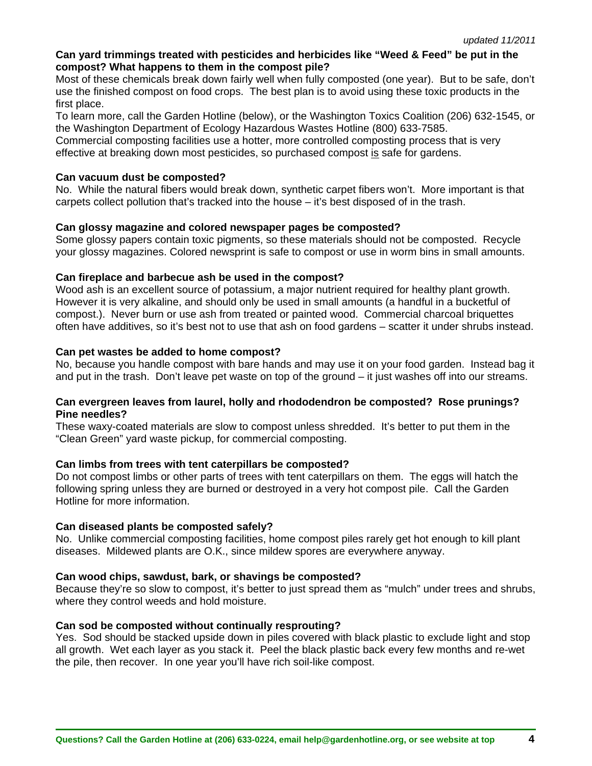#### **Can yard trimmings treated with pesticides and herbicides like "Weed & Feed" be put in the compost? What happens to them in the compost pile?**

Most of these chemicals break down fairly well when fully composted (one year). But to be safe, don't use the finished compost on food crops. The best plan is to avoid using these toxic products in the first place.

To learn more, call the Garden Hotline (below), or the Washington Toxics Coalition (206) 632-1545, or the Washington Department of Ecology Hazardous Wastes Hotline (800) 633-7585.

Commercial composting facilities use a hotter, more controlled composting process that is very effective at breaking down most pesticides, so purchased compost is safe for gardens.

#### **Can vacuum dust be composted?**

No. While the natural fibers would break down, synthetic carpet fibers won't. More important is that carpets collect pollution that's tracked into the house – it's best disposed of in the trash.

#### **Can glossy magazine and colored newspaper pages be composted?**

Some glossy papers contain toxic pigments, so these materials should not be composted. Recycle your glossy magazines. Colored newsprint is safe to compost or use in worm bins in small amounts.

#### **Can fireplace and barbecue ash be used in the compost?**

Wood ash is an excellent source of potassium, a major nutrient required for healthy plant growth. However it is very alkaline, and should only be used in small amounts (a handful in a bucketful of compost.). Never burn or use ash from treated or painted wood. Commercial charcoal briquettes often have additives, so it's best not to use that ash on food gardens – scatter it under shrubs instead.

#### **Can pet wastes be added to home compost?**

No, because you handle compost with bare hands and may use it on your food garden. Instead bag it and put in the trash. Don't leave pet waste on top of the ground – it just washes off into our streams.

#### **Can evergreen leaves from laurel, holly and rhododendron be composted? Rose prunings? Pine needles?**

These waxy-coated materials are slow to compost unless shredded. It's better to put them in the "Clean Green" yard waste pickup, for commercial composting.

#### **Can limbs from trees with tent caterpillars be composted?**

Do not compost limbs or other parts of trees with tent caterpillars on them. The eggs will hatch the following spring unless they are burned or destroyed in a very hot compost pile. Call the Garden Hotline for more information.

#### **Can diseased plants be composted safely?**

No. Unlike commercial composting facilities, home compost piles rarely get hot enough to kill plant diseases. Mildewed plants are O.K., since mildew spores are everywhere anyway.

#### **Can wood chips, sawdust, bark, or shavings be composted?**

Because they're so slow to compost, it's better to just spread them as "mulch" under trees and shrubs, where they control weeds and hold moisture.

#### **Can sod be composted without continually resprouting?**

Yes. Sod should be stacked upside down in piles covered with black plastic to exclude light and stop all growth. Wet each layer as you stack it. Peel the black plastic back every few months and re-wet the pile, then recover. In one year you'll have rich soil-like compost.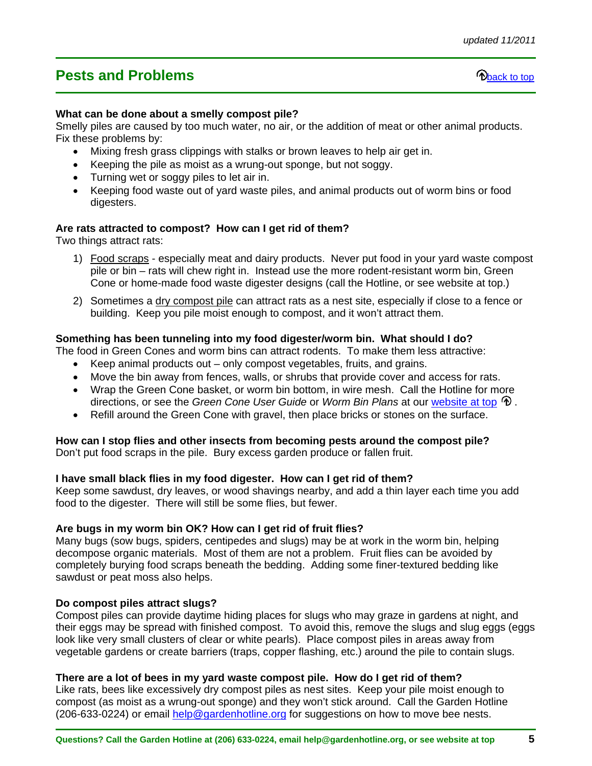# <span id="page-4-0"></span>**Pests and Problems back to the Contract of the Contract of the Contract of the Contract of the Contract of the Contract of the Contract of the Contract of the Contract of the Contract of the Contract of the Contract of**

#### **What can be done about a smelly compost pile?**

Smelly piles are caused by too much water, no air, or the addition of meat or other animal products. Fix these problems by:

- Mixing fresh grass clippings with stalks or brown leaves to help air get in.
- Keeping the pile as moist as a wrung-out sponge, but not soggy.
- Turning wet or soggy piles to let air in.
- Keeping food waste out of yard waste piles, and animal products out of worm bins or food digesters.

#### **Are rats attracted to compost? How can I get rid of them?**

Two things attract rats:

- 1) Food scraps especially meat and dairy products. Never put food in your yard waste compost pile or bin – rats will chew right in. Instead use the more rodent-resistant worm bin, Green Cone or home-made food waste digester designs (call the Hotline, or see website at top.)
- 2) Sometimes a dry compost pile can attract rats as a nest site, especially if close to a fence or building. Keep you pile moist enough to compost, and it won't attract them.

#### **Something has been tunneling into my food digester/worm bin. What should I do?**

The food in Green Cones and worm bins can attract rodents. To make them less attractive:

- Keep animal products out only compost vegetables, fruits, and grains.
- Move the bin away from fences, walls, or shrubs that provide cover and access for rats.
- Wrap the Green Cone basket, or worm bin bottom, in wire mesh. Call the Hotline for more directions, or see the *Green Cone User Guide* or *Worm Bin Plans* at our [website at top .](#page-0-0)
- Refill around the Green Cone with gravel, then place bricks or stones on the surface.

#### **How can I stop flies and other insects from becoming pests around the compost pile?**

Don't put food scraps in the pile. Bury excess garden produce or fallen fruit.

#### **I have small black flies in my food digester. How can I get rid of them?**

Keep some sawdust, dry leaves, or wood shavings nearby, and add a thin layer each time you add food to the digester. There will still be some flies, but fewer.

#### **Are bugs in my worm bin OK? How can I get rid of fruit flies?**

Many bugs (sow bugs, spiders, centipedes and slugs) may be at work in the worm bin, helping decompose organic materials. Most of them are not a problem. Fruit flies can be avoided by completely burying food scraps beneath the bedding. Adding some finer-textured bedding like sawdust or peat moss also helps.

#### **Do compost piles attract slugs?**

Compost piles can provide daytime hiding places for slugs who may graze in gardens at night, and their eggs may be spread with finished compost. To avoid this, remove the slugs and slug eggs (eggs look like very small clusters of clear or white pearls). Place compost piles in areas away from vegetable gardens or create barriers (traps, copper flashing, etc.) around the pile to contain slugs.

#### **There are a lot of bees in my yard waste compost pile. How do I get rid of them?**

Like rats, bees like excessively dry compost piles as nest sites. Keep your pile moist enough to compost (as moist as a wrung-out sponge) and they won't stick around. Call the Garden Hotline (206-633-0224) or email help@gardenhotline.org for suggestions on how to move bee nests.